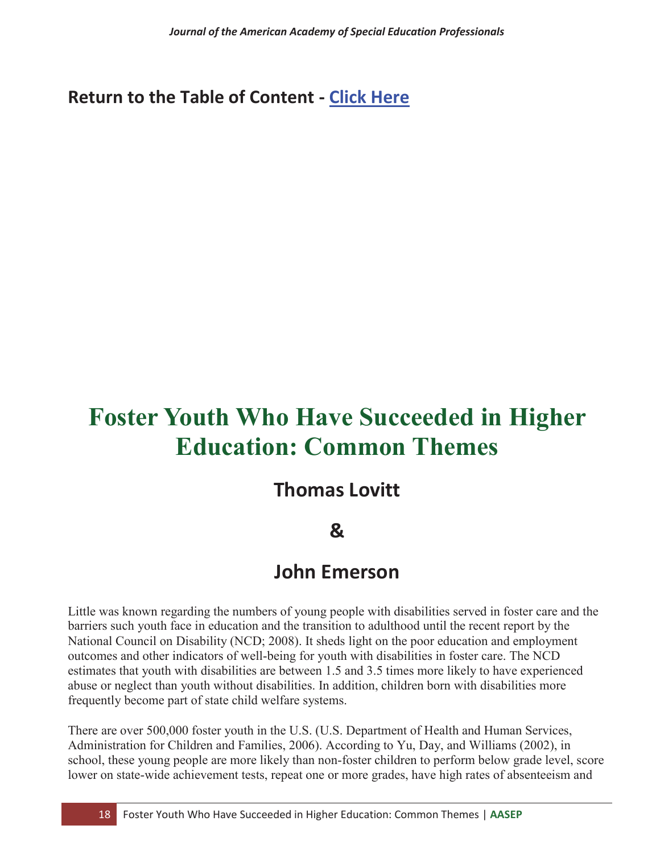### **Return to the Table of Content - Click Here**

# **Foster Youth Who Have Succeeded in Higher Education: Common Themes**

## **Thomas Lovitt**

### **&**

### **John Emerson**

Little was known regarding the numbers of young people with disabilities served in foster care and the barriers such youth face in education and the transition to adulthood until the recent report by the National Council on Disability (NCD; 2008). It sheds light on the poor education and employment outcomes and other indicators of well-being for youth with disabilities in foster care. The NCD estimates that youth with disabilities are between 1.5 and 3.5 times more likely to have experienced abuse or neglect than youth without disabilities. In addition, children born with disabilities more frequently become part of state child welfare systems.

There are over 500,000 foster youth in the U.S. (U.S. Department of Health and Human Services, Administration for Children and Families, 2006). According to Yu, Day, and Williams (2002), in school, these young people are more likely than non-foster children to perform below grade level, score lower on state-wide achievement tests, repeat one or more grades, have high rates of absenteeism and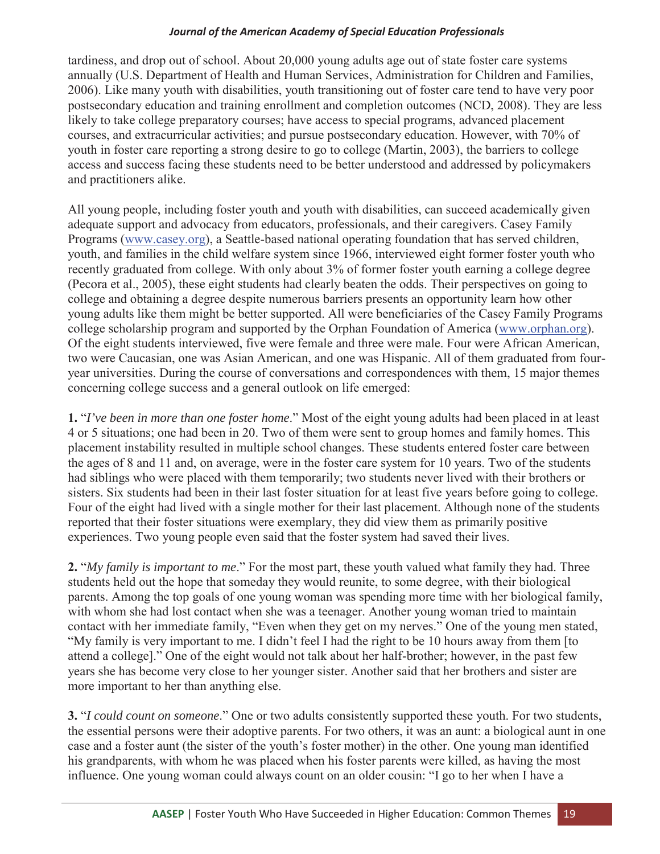tardiness, and drop out of school. About 20,000 young adults age out of state foster care systems annually (U.S. Department of Health and Human Services, Administration for Children and Families, 2006). Like many youth with disabilities, youth transitioning out of foster care tend to have very poor postsecondary education and training enrollment and completion outcomes (NCD, 2008). They are less likely to take college preparatory courses; have access to special programs, advanced placement courses, and extracurricular activities; and pursue postsecondary education. However, with 70% of youth in foster care reporting a strong desire to go to college (Martin, 2003), the barriers to college access and success facing these students need to be better understood and addressed by policymakers and practitioners alike.

All young people, including foster youth and youth with disabilities, can succeed academically given adequate support and advocacy from educators, professionals, and their caregivers. Casey Family Programs (www.casey.org), a Seattle-based national operating foundation that has served children, youth, and families in the child welfare system since 1966, interviewed eight former foster youth who recently graduated from college. With only about 3% of former foster youth earning a college degree (Pecora et al., 2005), these eight students had clearly beaten the odds. Their perspectives on going to college and obtaining a degree despite numerous barriers presents an opportunity learn how other young adults like them might be better supported. All were beneficiaries of the Casey Family Programs college scholarship program and supported by the Orphan Foundation of America (www.orphan.org). Of the eight students interviewed, five were female and three were male. Four were African American, two were Caucasian, one was Asian American, and one was Hispanic. All of them graduated from fouryear universities. During the course of conversations and correspondences with them, 15 major themes concerning college success and a general outlook on life emerged:

**1.** "*I've been in more than one foster home*." Most of the eight young adults had been placed in at least 4 or 5 situations; one had been in 20. Two of them were sent to group homes and family homes. This placement instability resulted in multiple school changes. These students entered foster care between the ages of 8 and 11 and, on average, were in the foster care system for 10 years. Two of the students had siblings who were placed with them temporarily; two students never lived with their brothers or sisters. Six students had been in their last foster situation for at least five years before going to college. Four of the eight had lived with a single mother for their last placement. Although none of the students reported that their foster situations were exemplary, they did view them as primarily positive experiences. Two young people even said that the foster system had saved their lives.

**2.** "*My family is important to me*." For the most part, these youth valued what family they had. Three students held out the hope that someday they would reunite, to some degree, with their biological parents. Among the top goals of one young woman was spending more time with her biological family, with whom she had lost contact when she was a teenager. Another young woman tried to maintain contact with her immediate family, "Even when they get on my nerves." One of the young men stated, "My family is very important to me. I didn't feel I had the right to be 10 hours away from them [to attend a college]." One of the eight would not talk about her half-brother; however, in the past few years she has become very close to her younger sister. Another said that her brothers and sister are more important to her than anything else.

**3.** "*I could count on someone*." One or two adults consistently supported these youth. For two students, the essential persons were their adoptive parents. For two others, it was an aunt: a biological aunt in one case and a foster aunt (the sister of the youth's foster mother) in the other. One young man identified his grandparents, with whom he was placed when his foster parents were killed, as having the most influence. One young woman could always count on an older cousin: "I go to her when I have a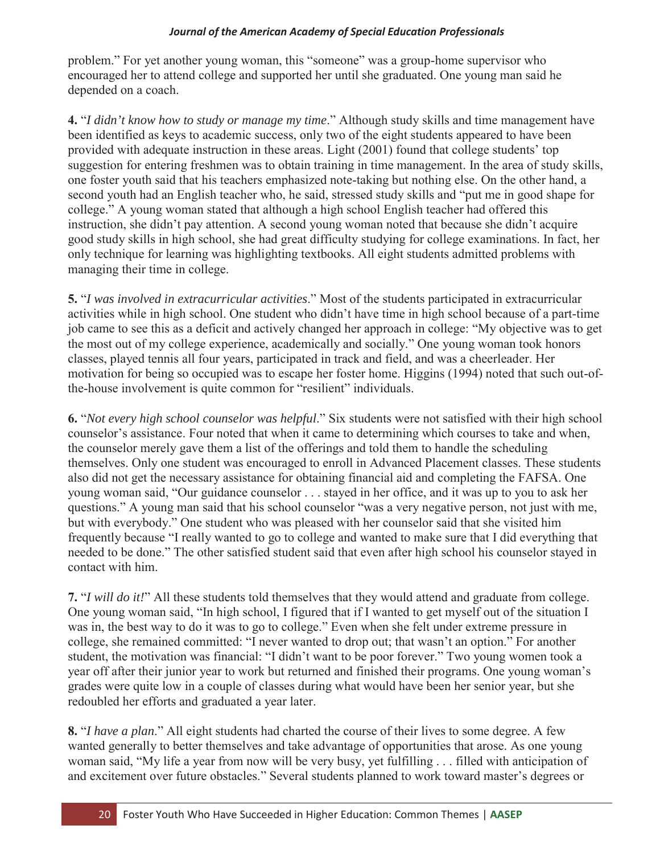problem." For yet another young woman, this "someone" was a group-home supervisor who encouraged her to attend college and supported her until she graduated. One young man said he depended on a coach.

**4.** "*I didn't know how to study or manage my time*." Although study skills and time management have been identified as keys to academic success, only two of the eight students appeared to have been provided with adequate instruction in these areas. Light (2001) found that college students' top suggestion for entering freshmen was to obtain training in time management. In the area of study skills, one foster youth said that his teachers emphasized note-taking but nothing else. On the other hand, a second youth had an English teacher who, he said, stressed study skills and "put me in good shape for college." A young woman stated that although a high school English teacher had offered this instruction, she didn't pay attention. A second young woman noted that because she didn't acquire good study skills in high school, she had great difficulty studying for college examinations. In fact, her only technique for learning was highlighting textbooks. All eight students admitted problems with managing their time in college.

**5.** "*I was involved in extracurricular activities*." Most of the students participated in extracurricular activities while in high school. One student who didn't have time in high school because of a part-time job came to see this as a deficit and actively changed her approach in college: "My objective was to get the most out of my college experience, academically and socially." One young woman took honors classes, played tennis all four years, participated in track and field, and was a cheerleader. Her motivation for being so occupied was to escape her foster home. Higgins (1994) noted that such out-ofthe-house involvement is quite common for "resilient" individuals.

**6.** "*Not every high school counselor was helpful*." Six students were not satisfied with their high school counselor's assistance. Four noted that when it came to determining which courses to take and when, the counselor merely gave them a list of the offerings and told them to handle the scheduling themselves. Only one student was encouraged to enroll in Advanced Placement classes. These students also did not get the necessary assistance for obtaining financial aid and completing the FAFSA. One young woman said, "Our guidance counselor . . . stayed in her office, and it was up to you to ask her questions." A young man said that his school counselor "was a very negative person, not just with me, but with everybody." One student who was pleased with her counselor said that she visited him frequently because "I really wanted to go to college and wanted to make sure that I did everything that needed to be done." The other satisfied student said that even after high school his counselor stayed in contact with him.

**7.** "*I will do it!*" All these students told themselves that they would attend and graduate from college. One young woman said, "In high school, I figured that if I wanted to get myself out of the situation I was in, the best way to do it was to go to college." Even when she felt under extreme pressure in college, she remained committed: "I never wanted to drop out; that wasn't an option." For another student, the motivation was financial: "I didn't want to be poor forever." Two young women took a year off after their junior year to work but returned and finished their programs. One young woman's grades were quite low in a couple of classes during what would have been her senior year, but she redoubled her efforts and graduated a year later.

**8.** "*I have a plan*." All eight students had charted the course of their lives to some degree. A few wanted generally to better themselves and take advantage of opportunities that arose. As one young woman said, "My life a year from now will be very busy, yet fulfilling . . . filled with anticipation of and excitement over future obstacles." Several students planned to work toward master's degrees or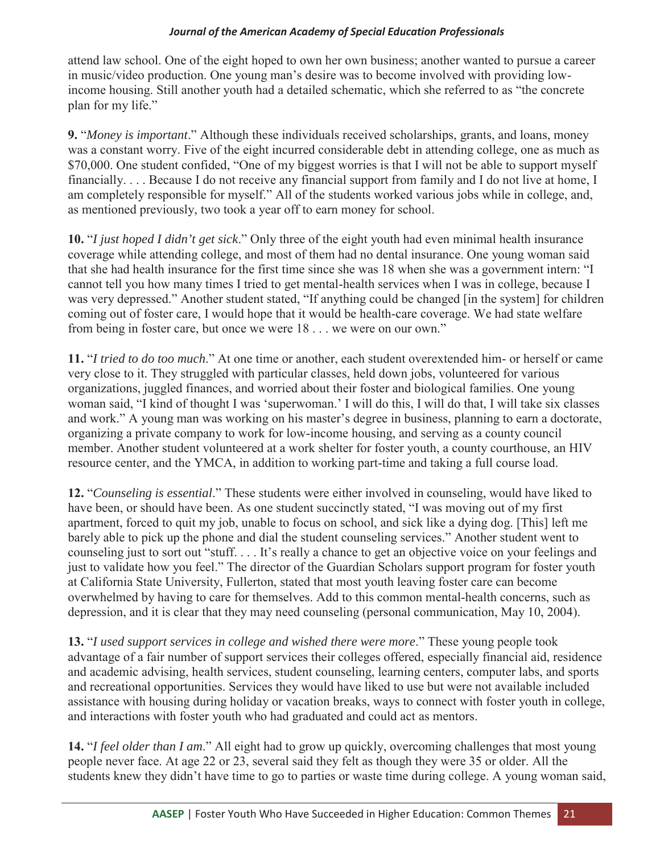attend law school. One of the eight hoped to own her own business; another wanted to pursue a career in music/video production. One young man's desire was to become involved with providing lowincome housing. Still another youth had a detailed schematic, which she referred to as "the concrete plan for my life."

**9.** "*Money is important*." Although these individuals received scholarships, grants, and loans, money was a constant worry. Five of the eight incurred considerable debt in attending college, one as much as \$70,000. One student confided, "One of my biggest worries is that I will not be able to support myself financially. . . . Because I do not receive any financial support from family and I do not live at home, I am completely responsible for myself." All of the students worked various jobs while in college, and, as mentioned previously, two took a year off to earn money for school.

**10.** "*I just hoped I didn't get sick*." Only three of the eight youth had even minimal health insurance coverage while attending college, and most of them had no dental insurance. One young woman said that she had health insurance for the first time since she was 18 when she was a government intern: "I cannot tell you how many times I tried to get mental-health services when I was in college, because I was very depressed." Another student stated, "If anything could be changed [in the system] for children coming out of foster care, I would hope that it would be health-care coverage. We had state welfare from being in foster care, but once we were 18 . . . we were on our own."

**11.** "*I tried to do too much*." At one time or another, each student overextended him- or herself or came very close to it. They struggled with particular classes, held down jobs, volunteered for various organizations, juggled finances, and worried about their foster and biological families. One young woman said, "I kind of thought I was 'superwoman.' I will do this, I will do that, I will take six classes and work." A young man was working on his master's degree in business, planning to earn a doctorate, organizing a private company to work for low-income housing, and serving as a county council member. Another student volunteered at a work shelter for foster youth, a county courthouse, an HIV resource center, and the YMCA, in addition to working part-time and taking a full course load.

**12.** "*Counseling is essential*." These students were either involved in counseling, would have liked to have been, or should have been. As one student succinctly stated, "I was moving out of my first apartment, forced to quit my job, unable to focus on school, and sick like a dying dog. [This] left me barely able to pick up the phone and dial the student counseling services." Another student went to counseling just to sort out "stuff. . . . It's really a chance to get an objective voice on your feelings and just to validate how you feel." The director of the Guardian Scholars support program for foster youth at California State University, Fullerton, stated that most youth leaving foster care can become overwhelmed by having to care for themselves. Add to this common mental-health concerns, such as depression, and it is clear that they may need counseling (personal communication, May 10, 2004).

**13.** "*I used support services in college and wished there were more*." These young people took advantage of a fair number of support services their colleges offered, especially financial aid, residence and academic advising, health services, student counseling, learning centers, computer labs, and sports and recreational opportunities. Services they would have liked to use but were not available included assistance with housing during holiday or vacation breaks, ways to connect with foster youth in college, and interactions with foster youth who had graduated and could act as mentors.

**14.** "*I feel older than I am*." All eight had to grow up quickly, overcoming challenges that most young people never face. At age 22 or 23, several said they felt as though they were 35 or older. All the students knew they didn't have time to go to parties or waste time during college. A young woman said,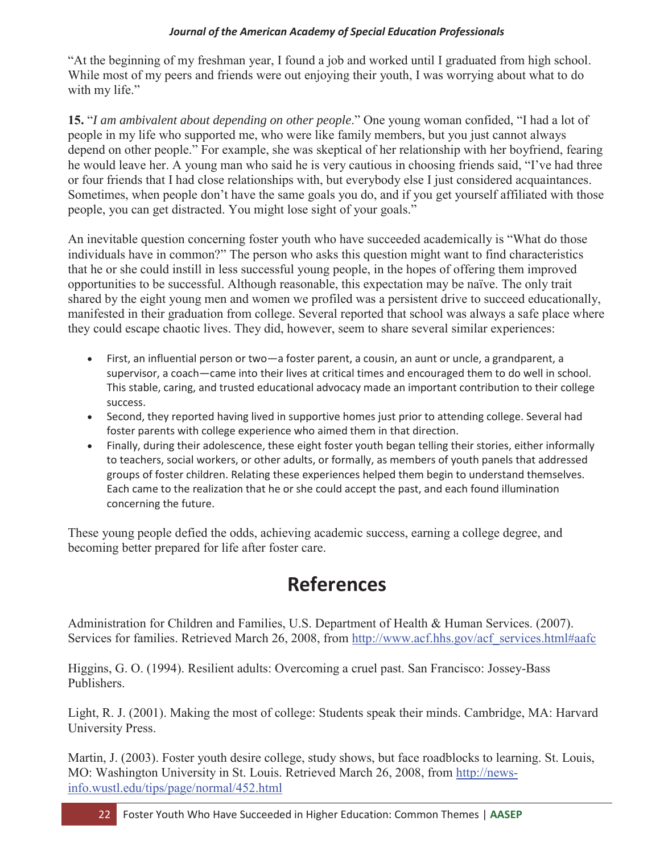"At the beginning of my freshman year, I found a job and worked until I graduated from high school. While most of my peers and friends were out enjoying their youth, I was worrying about what to do with my life."

**15.** "*I am ambivalent about depending on other people*." One young woman confided, "I had a lot of people in my life who supported me, who were like family members, but you just cannot always depend on other people." For example, she was skeptical of her relationship with her boyfriend, fearing he would leave her. A young man who said he is very cautious in choosing friends said, "I've had three or four friends that I had close relationships with, but everybody else I just considered acquaintances. Sometimes, when people don't have the same goals you do, and if you get yourself affiliated with those people, you can get distracted. You might lose sight of your goals."

An inevitable question concerning foster youth who have succeeded academically is "What do those individuals have in common?" The person who asks this question might want to find characteristics that he or she could instill in less successful young people, in the hopes of offering them improved opportunities to be successful. Although reasonable, this expectation may be naïve. The only trait shared by the eight young men and women we profiled was a persistent drive to succeed educationally, manifested in their graduation from college. Several reported that school was always a safe place where they could escape chaotic lives. They did, however, seem to share several similar experiences:

- First, an influential person or two—a foster parent, a cousin, an aunt or uncle, a grandparent, a supervisor, a coach—came into their lives at critical times and encouraged them to do well in school. This stable, caring, and trusted educational advocacy made an important contribution to their college success.
- Second, they reported having lived in supportive homes just prior to attending college. Several had foster parents with college experience who aimed them in that direction.
- Finally, during their adolescence, these eight foster youth began telling their stories, either informally to teachers, social workers, or other adults, or formally, as members of youth panels that addressed groups of foster children. Relating these experiences helped them begin to understand themselves. Each came to the realization that he or she could accept the past, and each found illumination concerning the future.

These young people defied the odds, achieving academic success, earning a college degree, and becoming better prepared for life after foster care.

# **References**

Administration for Children and Families, U.S. Department of Health & Human Services. (2007). Services for families. Retrieved March 26, 2008, from http://www.acf.hhs.gov/acf\_services.html#aafc

Higgins, G. O. (1994). Resilient adults: Overcoming a cruel past. San Francisco: Jossey-Bass Publishers.

Light, R. J. (2001). Making the most of college: Students speak their minds. Cambridge, MA: Harvard University Press.

Martin, J. (2003). Foster youth desire college, study shows, but face roadblocks to learning. St. Louis, MO: Washington University in St. Louis. Retrieved March 26, 2008, from http://newsinfo.wustl.edu/tips/page/normal/452.html